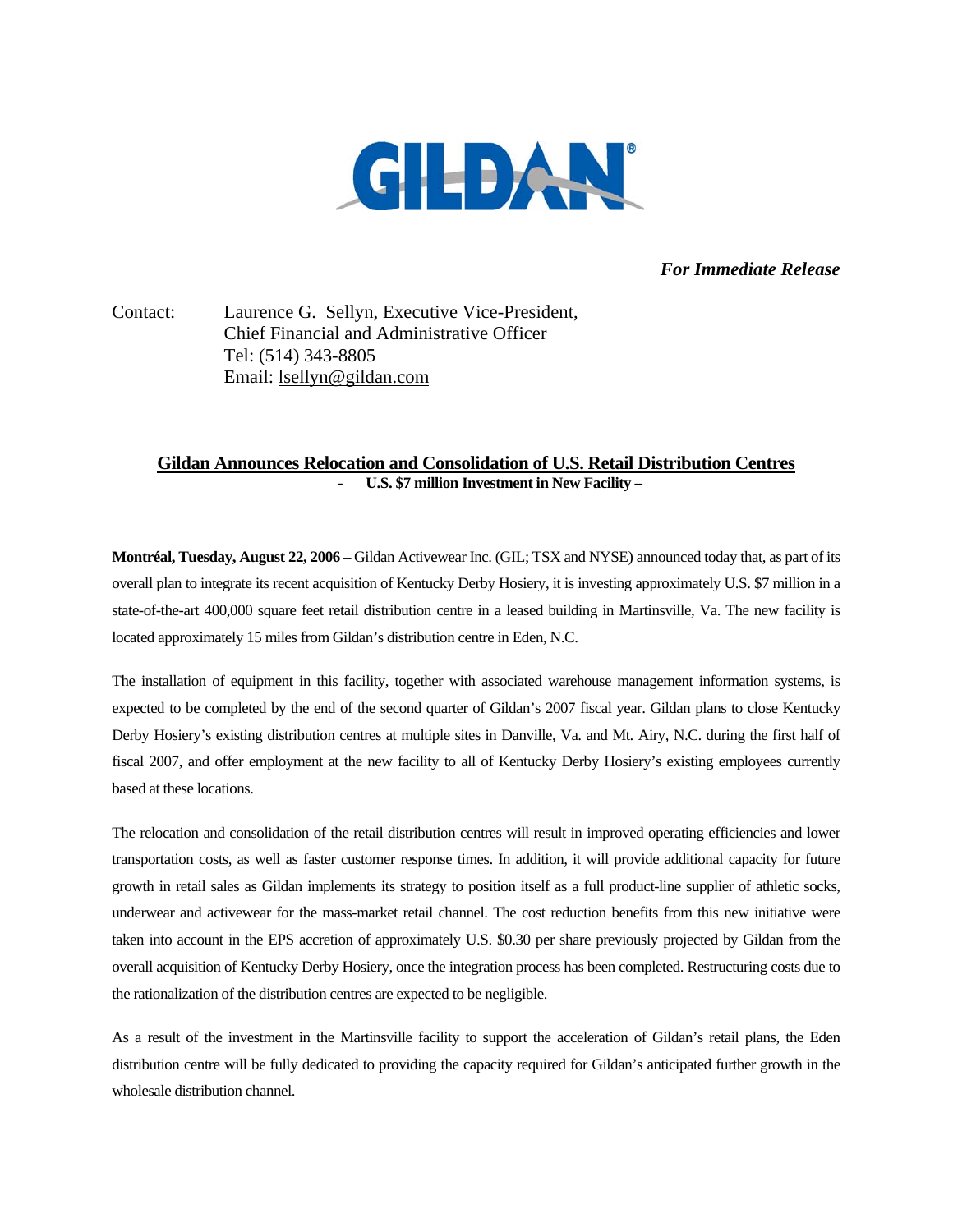

## *For Immediate Release*

Contact: Laurence G. Sellyn, Executive Vice-President, Chief Financial and Administrative Officer Tel: (514) 343-8805 Email: lsellyn@gildan.com

## **Gildan Announces Relocation and Consolidation of U.S. Retail Distribution Centres** - **U.S. \$7 million Investment in New Facility –**

**Montréal, Tuesday, August 22, 2006** – Gildan Activewear Inc. (GIL; TSX and NYSE) announced today that, as part of its overall plan to integrate its recent acquisition of Kentucky Derby Hosiery, it is investing approximately U.S. \$7 million in a state-of-the-art 400,000 square feet retail distribution centre in a leased building in Martinsville, Va. The new facility is located approximately 15 miles from Gildan's distribution centre in Eden, N.C.

The installation of equipment in this facility, together with associated warehouse management information systems, is expected to be completed by the end of the second quarter of Gildan's 2007 fiscal year. Gildan plans to close Kentucky Derby Hosiery's existing distribution centres at multiple sites in Danville, Va. and Mt. Airy, N.C. during the first half of fiscal 2007, and offer employment at the new facility to all of Kentucky Derby Hosiery's existing employees currently based at these locations.

The relocation and consolidation of the retail distribution centres will result in improved operating efficiencies and lower transportation costs, as well as faster customer response times. In addition, it will provide additional capacity for future growth in retail sales as Gildan implements its strategy to position itself as a full product-line supplier of athletic socks, underwear and activewear for the mass-market retail channel. The cost reduction benefits from this new initiative were taken into account in the EPS accretion of approximately U.S. \$0.30 per share previously projected by Gildan from the overall acquisition of Kentucky Derby Hosiery, once the integration process has been completed. Restructuring costs due to the rationalization of the distribution centres are expected to be negligible.

As a result of the investment in the Martinsville facility to support the acceleration of Gildan's retail plans, the Eden distribution centre will be fully dedicated to providing the capacity required for Gildan's anticipated further growth in the wholesale distribution channel.